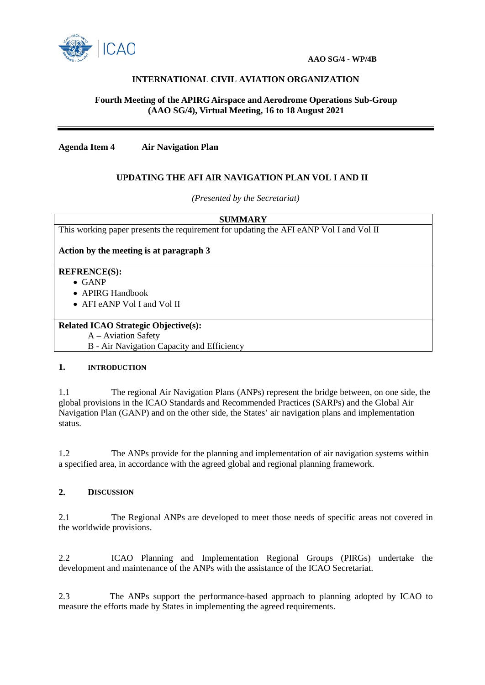

# **INTERNATIONAL CIVIL AVIATION ORGANIZATION**

## **Fourth Meeting of the APIRG Airspace and Aerodrome Operations Sub-Group (AAO SG/4), Virtual Meeting, 16 to 18 August 2021**

**Agenda Item 4 Air Navigation Plan** 

## **UPDATING THE AFI AIR NAVIGATION PLAN VOL I AND II**

*(Presented by the Secretariat)*

**SUMMARY**

This working paper presents the requirement for updating the AFI eANP Vol I and Vol II

**Action by the meeting is at paragraph 3**

### **REFRENCE(S):**

- GANP
- APIRG Handbook
- AFI eANP Vol I and Vol II

### **Related ICAO Strategic Objective(s):**

A – Aviation Safety

B - Air Navigation Capacity and Efficiency

#### **1. INTRODUCTION**

1.1 The regional Air Navigation Plans (ANPs) represent the bridge between, on one side, the global provisions in the ICAO Standards and Recommended Practices (SARPs) and the Global Air Navigation Plan (GANP) and on the other side, the States' air navigation plans and implementation status.

1.2 The ANPs provide for the planning and implementation of air navigation systems within a specified area, in accordance with the agreed global and regional planning framework.

### **2. DISCUSSION**

2.1 The Regional ANPs are developed to meet those needs of specific areas not covered in the worldwide provisions.

2.2 ICAO Planning and Implementation Regional Groups (PIRGs) undertake the development and maintenance of the ANPs with the assistance of the ICAO Secretariat.

2.3 The ANPs support the performance-based approach to planning adopted by ICAO to measure the efforts made by States in implementing the agreed requirements.